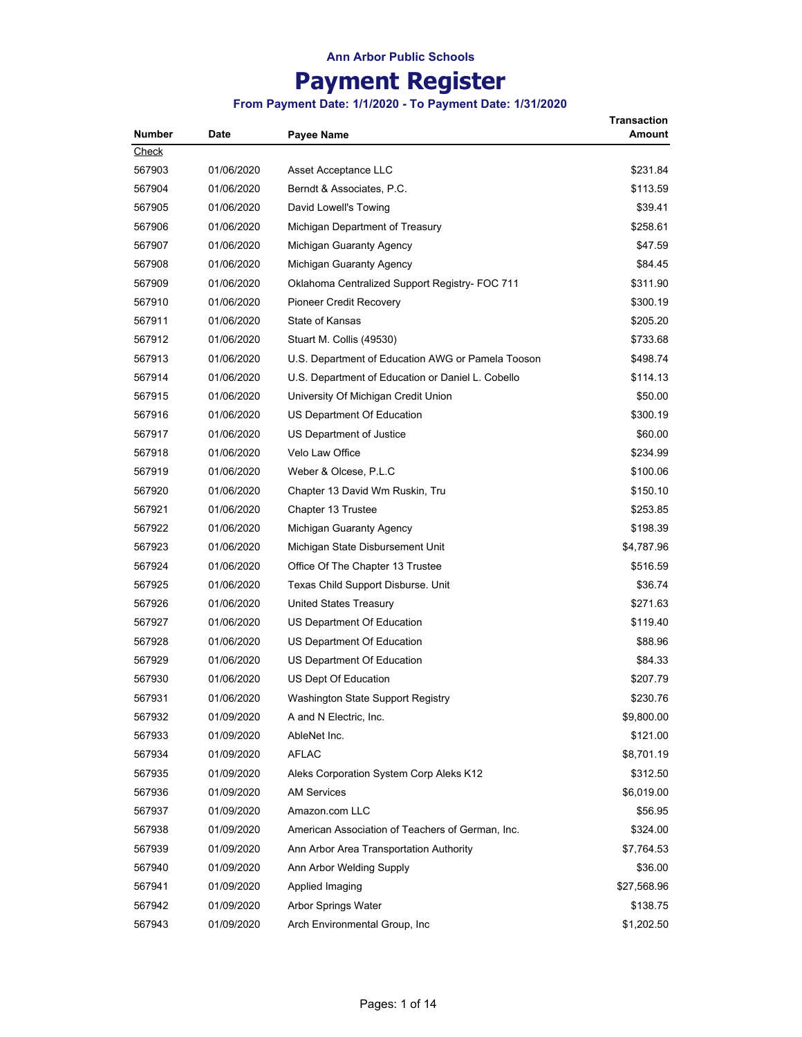## **Payment Register**

| Number       | Date       | Payee Name                                        | Transaction<br>Amount |
|--------------|------------|---------------------------------------------------|-----------------------|
| <b>Check</b> |            |                                                   |                       |
| 567903       | 01/06/2020 | Asset Acceptance LLC                              | \$231.84              |
| 567904       | 01/06/2020 | Berndt & Associates, P.C.                         | \$113.59              |
| 567905       | 01/06/2020 | David Lowell's Towing                             | \$39.41               |
| 567906       | 01/06/2020 | Michigan Department of Treasury                   | \$258.61              |
| 567907       | 01/06/2020 | Michigan Guaranty Agency                          | \$47.59               |
| 567908       | 01/06/2020 | Michigan Guaranty Agency                          | \$84.45               |
| 567909       | 01/06/2020 | Oklahoma Centralized Support Registry- FOC 711    | \$311.90              |
| 567910       | 01/06/2020 | <b>Pioneer Credit Recovery</b>                    | \$300.19              |
| 567911       | 01/06/2020 | State of Kansas                                   | \$205.20              |
| 567912       | 01/06/2020 | Stuart M. Collis (49530)                          | \$733.68              |
| 567913       | 01/06/2020 | U.S. Department of Education AWG or Pamela Tooson | \$498.74              |
| 567914       | 01/06/2020 | U.S. Department of Education or Daniel L. Cobello | \$114.13              |
| 567915       | 01/06/2020 | University Of Michigan Credit Union               | \$50.00               |
| 567916       | 01/06/2020 | US Department Of Education                        | \$300.19              |
| 567917       | 01/06/2020 | US Department of Justice                          | \$60.00               |
| 567918       | 01/06/2020 | <b>Velo Law Office</b>                            | \$234.99              |
| 567919       | 01/06/2020 | Weber & Olcese, P.L.C                             | \$100.06              |
| 567920       | 01/06/2020 | Chapter 13 David Wm Ruskin, Tru                   | \$150.10              |
| 567921       | 01/06/2020 | Chapter 13 Trustee                                | \$253.85              |
| 567922       | 01/06/2020 | Michigan Guaranty Agency                          | \$198.39              |
| 567923       | 01/06/2020 | Michigan State Disbursement Unit                  | \$4,787.96            |
| 567924       | 01/06/2020 | Office Of The Chapter 13 Trustee                  | \$516.59              |
| 567925       | 01/06/2020 | Texas Child Support Disburse. Unit                | \$36.74               |
| 567926       | 01/06/2020 | United States Treasury                            | \$271.63              |
| 567927       | 01/06/2020 | US Department Of Education                        | \$119.40              |
| 567928       | 01/06/2020 | US Department Of Education                        | \$88.96               |
| 567929       | 01/06/2020 | US Department Of Education                        | \$84.33               |
| 567930       | 01/06/2020 | US Dept Of Education                              | \$207.79              |
| 567931       | 01/06/2020 | Washington State Support Registry                 | \$230.76              |
| 567932       | 01/09/2020 | A and N Electric, Inc.                            | \$9,800.00            |
| 567933       | 01/09/2020 | AbleNet Inc.                                      | \$121.00              |
| 567934       | 01/09/2020 | <b>AFLAC</b>                                      | \$8,701.19            |
| 567935       | 01/09/2020 | Aleks Corporation System Corp Aleks K12           | \$312.50              |
| 567936       | 01/09/2020 | <b>AM Services</b>                                | \$6,019.00            |
| 567937       | 01/09/2020 | Amazon.com LLC                                    | \$56.95               |
| 567938       | 01/09/2020 | American Association of Teachers of German, Inc.  | \$324.00              |
| 567939       | 01/09/2020 | Ann Arbor Area Transportation Authority           | \$7,764.53            |
| 567940       | 01/09/2020 | Ann Arbor Welding Supply                          | \$36.00               |
| 567941       | 01/09/2020 | Applied Imaging                                   | \$27,568.96           |
| 567942       | 01/09/2020 | <b>Arbor Springs Water</b>                        | \$138.75              |
| 567943       | 01/09/2020 | Arch Environmental Group, Inc                     | \$1,202.50            |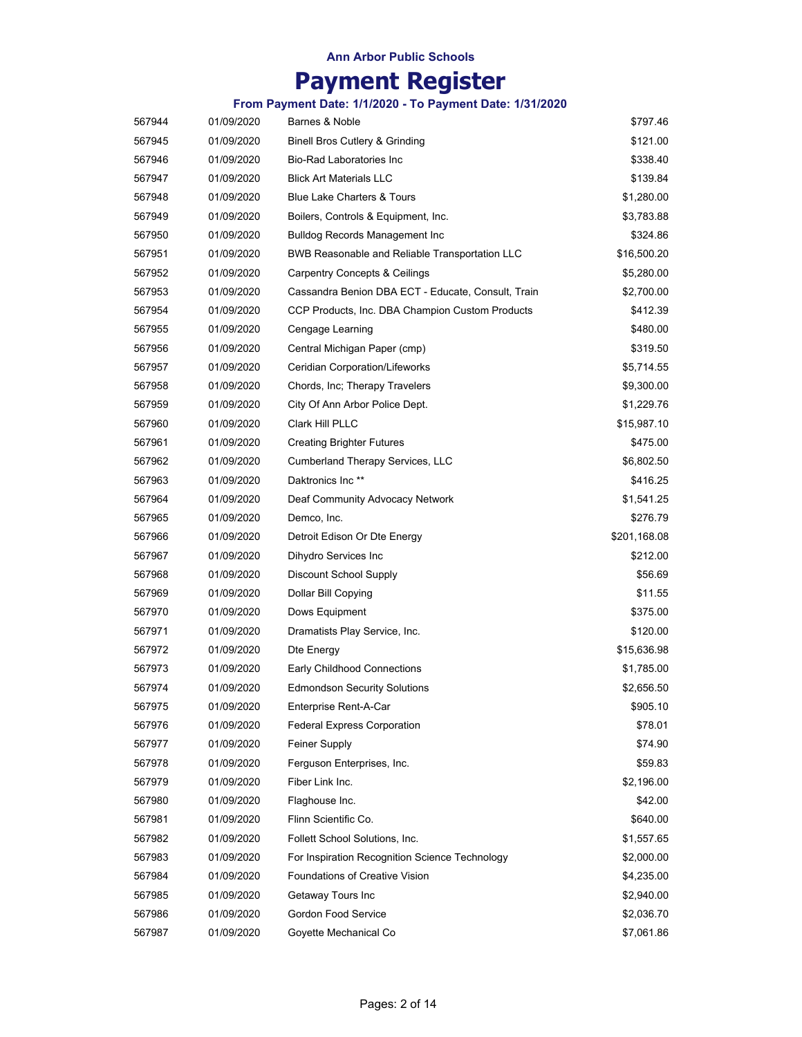# **Payment Register**

| 567944 | 01/09/2020 | Barnes & Noble                                        | \$797.46     |
|--------|------------|-------------------------------------------------------|--------------|
| 567945 | 01/09/2020 | <b>Binell Bros Cutlery &amp; Grinding</b>             | \$121.00     |
| 567946 | 01/09/2020 | <b>Bio-Rad Laboratories Inc</b>                       | \$338.40     |
| 567947 | 01/09/2020 | <b>Blick Art Materials LLC</b>                        | \$139.84     |
| 567948 | 01/09/2020 | <b>Blue Lake Charters &amp; Tours</b>                 | \$1,280.00   |
| 567949 | 01/09/2020 | Boilers, Controls & Equipment, Inc.                   | \$3,783.88   |
| 567950 | 01/09/2020 | <b>Bulldog Records Management Inc.</b>                | \$324.86     |
| 567951 | 01/09/2020 | <b>BWB Reasonable and Reliable Transportation LLC</b> | \$16,500.20  |
| 567952 | 01/09/2020 | <b>Carpentry Concepts &amp; Ceilings</b>              | \$5,280.00   |
| 567953 | 01/09/2020 | Cassandra Benion DBA ECT - Educate, Consult, Train    | \$2,700.00   |
| 567954 | 01/09/2020 | CCP Products, Inc. DBA Champion Custom Products       | \$412.39     |
| 567955 | 01/09/2020 | Cengage Learning                                      | \$480.00     |
| 567956 | 01/09/2020 | Central Michigan Paper (cmp)                          | \$319.50     |
| 567957 | 01/09/2020 | Ceridian Corporation/Lifeworks                        | \$5,714.55   |
| 567958 | 01/09/2020 | Chords, Inc; Therapy Travelers                        | \$9,300.00   |
| 567959 | 01/09/2020 | City Of Ann Arbor Police Dept.                        | \$1,229.76   |
| 567960 | 01/09/2020 | Clark Hill PLLC                                       | \$15,987.10  |
| 567961 | 01/09/2020 | <b>Creating Brighter Futures</b>                      | \$475.00     |
| 567962 | 01/09/2020 | <b>Cumberland Therapy Services, LLC</b>               | \$6,802.50   |
| 567963 | 01/09/2020 | Daktronics Inc <sup>**</sup>                          | \$416.25     |
| 567964 | 01/09/2020 | Deaf Community Advocacy Network                       | \$1,541.25   |
| 567965 | 01/09/2020 | Demco, Inc.                                           | \$276.79     |
| 567966 | 01/09/2020 | Detroit Edison Or Dte Energy                          | \$201,168.08 |
| 567967 | 01/09/2020 | Dihydro Services Inc                                  | \$212.00     |
| 567968 | 01/09/2020 | Discount School Supply                                | \$56.69      |
| 567969 | 01/09/2020 | Dollar Bill Copying                                   | \$11.55      |
| 567970 | 01/09/2020 | Dows Equipment                                        | \$375.00     |
| 567971 | 01/09/2020 | Dramatists Play Service, Inc.                         | \$120.00     |
| 567972 | 01/09/2020 | Dte Energy                                            | \$15,636.98  |
| 567973 | 01/09/2020 | Early Childhood Connections                           | \$1,785.00   |
| 567974 | 01/09/2020 | <b>Edmondson Security Solutions</b>                   | \$2,656.50   |
| 567975 | 01/09/2020 | Enterprise Rent-A-Car                                 | \$905.10     |
| 567976 | 01/09/2020 | <b>Federal Express Corporation</b>                    | \$78.01      |
| 567977 | 01/09/2020 | <b>Feiner Supply</b>                                  | \$74.90      |
| 567978 | 01/09/2020 | Ferguson Enterprises, Inc.                            | \$59.83      |
| 567979 | 01/09/2020 | Fiber Link Inc.                                       | \$2,196.00   |
| 567980 | 01/09/2020 | Flaghouse Inc.                                        | \$42.00      |
| 567981 | 01/09/2020 | Flinn Scientific Co.                                  | \$640.00     |
| 567982 | 01/09/2020 | Follett School Solutions, Inc.                        | \$1,557.65   |
| 567983 | 01/09/2020 | For Inspiration Recognition Science Technology        | \$2,000.00   |
| 567984 | 01/09/2020 | <b>Foundations of Creative Vision</b>                 | \$4,235.00   |
| 567985 | 01/09/2020 | Getaway Tours Inc                                     | \$2,940.00   |
| 567986 | 01/09/2020 | <b>Gordon Food Service</b>                            | \$2,036.70   |
| 567987 | 01/09/2020 | Goyette Mechanical Co                                 | \$7,061.86   |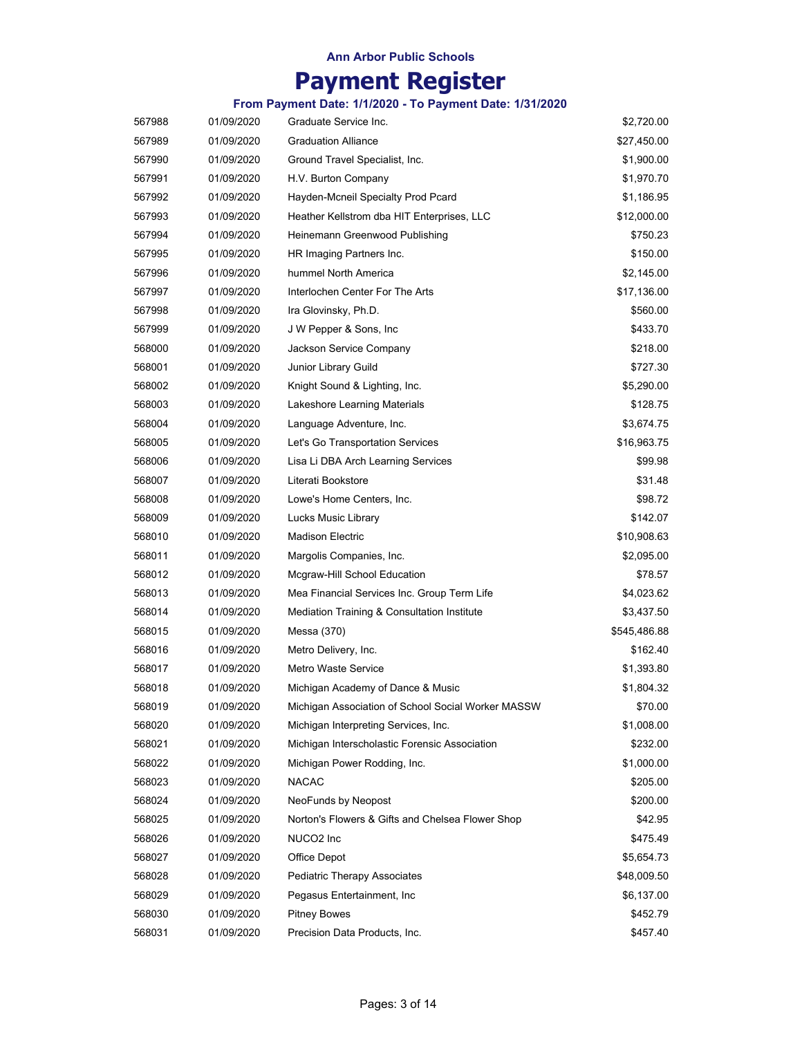# **Payment Register**

| 567989<br>01/09/2020<br><b>Graduation Alliance</b><br>\$27,450.00<br>01/09/2020<br>Ground Travel Specialist, Inc.<br>\$1,900.00<br>567990<br>567991<br>01/09/2020<br>H.V. Burton Company<br>\$1,970.70<br>\$1,186.95<br>567992<br>01/09/2020<br>Hayden-Mcneil Specialty Prod Pcard<br>567993<br>01/09/2020<br>Heather Kellstrom dba HIT Enterprises, LLC<br>\$12,000.00<br>01/09/2020<br>Heinemann Greenwood Publishing<br>\$750.23<br>567994<br>01/09/2020<br>HR Imaging Partners Inc.<br>\$150.00<br>567995<br>567996<br>01/09/2020<br>hummel North America<br>\$2,145.00<br>Interlochen Center For The Arts<br>567997<br>01/09/2020<br>\$17,136.00<br>567998<br>01/09/2020<br>Ira Glovinsky, Ph.D.<br>\$560.00<br>01/09/2020<br>J W Pepper & Sons, Inc.<br>\$433.70<br>567999<br>568000<br>01/09/2020<br>Jackson Service Company<br>\$218.00<br>568001<br>01/09/2020<br>Junior Library Guild<br>\$727.30 |
|-------------------------------------------------------------------------------------------------------------------------------------------------------------------------------------------------------------------------------------------------------------------------------------------------------------------------------------------------------------------------------------------------------------------------------------------------------------------------------------------------------------------------------------------------------------------------------------------------------------------------------------------------------------------------------------------------------------------------------------------------------------------------------------------------------------------------------------------------------------------------------------------------------------|
|                                                                                                                                                                                                                                                                                                                                                                                                                                                                                                                                                                                                                                                                                                                                                                                                                                                                                                             |
|                                                                                                                                                                                                                                                                                                                                                                                                                                                                                                                                                                                                                                                                                                                                                                                                                                                                                                             |
|                                                                                                                                                                                                                                                                                                                                                                                                                                                                                                                                                                                                                                                                                                                                                                                                                                                                                                             |
|                                                                                                                                                                                                                                                                                                                                                                                                                                                                                                                                                                                                                                                                                                                                                                                                                                                                                                             |
|                                                                                                                                                                                                                                                                                                                                                                                                                                                                                                                                                                                                                                                                                                                                                                                                                                                                                                             |
|                                                                                                                                                                                                                                                                                                                                                                                                                                                                                                                                                                                                                                                                                                                                                                                                                                                                                                             |
|                                                                                                                                                                                                                                                                                                                                                                                                                                                                                                                                                                                                                                                                                                                                                                                                                                                                                                             |
|                                                                                                                                                                                                                                                                                                                                                                                                                                                                                                                                                                                                                                                                                                                                                                                                                                                                                                             |
|                                                                                                                                                                                                                                                                                                                                                                                                                                                                                                                                                                                                                                                                                                                                                                                                                                                                                                             |
|                                                                                                                                                                                                                                                                                                                                                                                                                                                                                                                                                                                                                                                                                                                                                                                                                                                                                                             |
|                                                                                                                                                                                                                                                                                                                                                                                                                                                                                                                                                                                                                                                                                                                                                                                                                                                                                                             |
|                                                                                                                                                                                                                                                                                                                                                                                                                                                                                                                                                                                                                                                                                                                                                                                                                                                                                                             |
|                                                                                                                                                                                                                                                                                                                                                                                                                                                                                                                                                                                                                                                                                                                                                                                                                                                                                                             |
| 568002<br>01/09/2020<br>Knight Sound & Lighting, Inc.<br>\$5,290.00                                                                                                                                                                                                                                                                                                                                                                                                                                                                                                                                                                                                                                                                                                                                                                                                                                         |
| 568003<br>01/09/2020<br>Lakeshore Learning Materials<br>\$128.75                                                                                                                                                                                                                                                                                                                                                                                                                                                                                                                                                                                                                                                                                                                                                                                                                                            |
| 568004<br>01/09/2020<br>Language Adventure, Inc.<br>\$3,674.75                                                                                                                                                                                                                                                                                                                                                                                                                                                                                                                                                                                                                                                                                                                                                                                                                                              |
| 568005<br>01/09/2020<br>Let's Go Transportation Services<br>\$16,963.75                                                                                                                                                                                                                                                                                                                                                                                                                                                                                                                                                                                                                                                                                                                                                                                                                                     |
| 568006<br>01/09/2020<br>Lisa Li DBA Arch Learning Services<br>\$99.98                                                                                                                                                                                                                                                                                                                                                                                                                                                                                                                                                                                                                                                                                                                                                                                                                                       |
| Literati Bookstore<br>\$31.48<br>568007<br>01/09/2020                                                                                                                                                                                                                                                                                                                                                                                                                                                                                                                                                                                                                                                                                                                                                                                                                                                       |
| 568008<br>01/09/2020<br>Lowe's Home Centers, Inc.<br>\$98.72                                                                                                                                                                                                                                                                                                                                                                                                                                                                                                                                                                                                                                                                                                                                                                                                                                                |
| 01/09/2020<br>Lucks Music Library<br>\$142.07<br>568009                                                                                                                                                                                                                                                                                                                                                                                                                                                                                                                                                                                                                                                                                                                                                                                                                                                     |
| 568010<br>01/09/2020<br><b>Madison Electric</b><br>\$10,908.63                                                                                                                                                                                                                                                                                                                                                                                                                                                                                                                                                                                                                                                                                                                                                                                                                                              |
| 568011<br>01/09/2020<br>Margolis Companies, Inc.<br>\$2,095.00                                                                                                                                                                                                                                                                                                                                                                                                                                                                                                                                                                                                                                                                                                                                                                                                                                              |
| 568012<br>01/09/2020<br>Mcgraw-Hill School Education<br>\$78.57                                                                                                                                                                                                                                                                                                                                                                                                                                                                                                                                                                                                                                                                                                                                                                                                                                             |
| 568013<br>01/09/2020<br>Mea Financial Services Inc. Group Term Life<br>\$4,023.62                                                                                                                                                                                                                                                                                                                                                                                                                                                                                                                                                                                                                                                                                                                                                                                                                           |
| 568014<br>01/09/2020<br>Mediation Training & Consultation Institute<br>\$3,437.50                                                                                                                                                                                                                                                                                                                                                                                                                                                                                                                                                                                                                                                                                                                                                                                                                           |
| 568015<br>01/09/2020<br>\$545,486.88<br>Messa (370)                                                                                                                                                                                                                                                                                                                                                                                                                                                                                                                                                                                                                                                                                                                                                                                                                                                         |
| 568016<br>01/09/2020<br>Metro Delivery, Inc.<br>\$162.40                                                                                                                                                                                                                                                                                                                                                                                                                                                                                                                                                                                                                                                                                                                                                                                                                                                    |
| <b>Metro Waste Service</b><br>568017<br>01/09/2020<br>\$1,393.80                                                                                                                                                                                                                                                                                                                                                                                                                                                                                                                                                                                                                                                                                                                                                                                                                                            |
| 568018<br>01/09/2020<br>Michigan Academy of Dance & Music<br>\$1,804.32                                                                                                                                                                                                                                                                                                                                                                                                                                                                                                                                                                                                                                                                                                                                                                                                                                     |
| 568019<br>01/09/2020<br>Michigan Association of School Social Worker MASSW<br>\$70.00                                                                                                                                                                                                                                                                                                                                                                                                                                                                                                                                                                                                                                                                                                                                                                                                                       |
| 568020<br>01/09/2020<br>\$1,008.00<br>Michigan Interpreting Services, Inc.                                                                                                                                                                                                                                                                                                                                                                                                                                                                                                                                                                                                                                                                                                                                                                                                                                  |
| 568021<br>01/09/2020<br>Michigan Interscholastic Forensic Association<br>\$232.00                                                                                                                                                                                                                                                                                                                                                                                                                                                                                                                                                                                                                                                                                                                                                                                                                           |
| Michigan Power Rodding, Inc.<br>\$1,000.00<br>568022<br>01/09/2020                                                                                                                                                                                                                                                                                                                                                                                                                                                                                                                                                                                                                                                                                                                                                                                                                                          |
| 568023<br>01/09/2020<br><b>NACAC</b><br>\$205.00                                                                                                                                                                                                                                                                                                                                                                                                                                                                                                                                                                                                                                                                                                                                                                                                                                                            |
| 568024<br>01/09/2020<br>NeoFunds by Neopost<br>\$200.00                                                                                                                                                                                                                                                                                                                                                                                                                                                                                                                                                                                                                                                                                                                                                                                                                                                     |
| Norton's Flowers & Gifts and Chelsea Flower Shop<br>568025<br>01/09/2020<br>\$42.95                                                                                                                                                                                                                                                                                                                                                                                                                                                                                                                                                                                                                                                                                                                                                                                                                         |
| NUCO <sub>2</sub> Inc<br>568026<br>01/09/2020<br>\$475.49                                                                                                                                                                                                                                                                                                                                                                                                                                                                                                                                                                                                                                                                                                                                                                                                                                                   |
| 568027<br>01/09/2020<br>Office Depot<br>\$5,654.73                                                                                                                                                                                                                                                                                                                                                                                                                                                                                                                                                                                                                                                                                                                                                                                                                                                          |
| 568028<br>01/09/2020<br>Pediatric Therapy Associates<br>\$48,009.50                                                                                                                                                                                                                                                                                                                                                                                                                                                                                                                                                                                                                                                                                                                                                                                                                                         |
| 568029<br>01/09/2020<br>Pegasus Entertainment, Inc.<br>\$6,137.00                                                                                                                                                                                                                                                                                                                                                                                                                                                                                                                                                                                                                                                                                                                                                                                                                                           |
| <b>Pitney Bowes</b><br>568030<br>01/09/2020<br>\$452.79                                                                                                                                                                                                                                                                                                                                                                                                                                                                                                                                                                                                                                                                                                                                                                                                                                                     |
| Precision Data Products, Inc.<br>568031<br>01/09/2020<br>\$457.40                                                                                                                                                                                                                                                                                                                                                                                                                                                                                                                                                                                                                                                                                                                                                                                                                                           |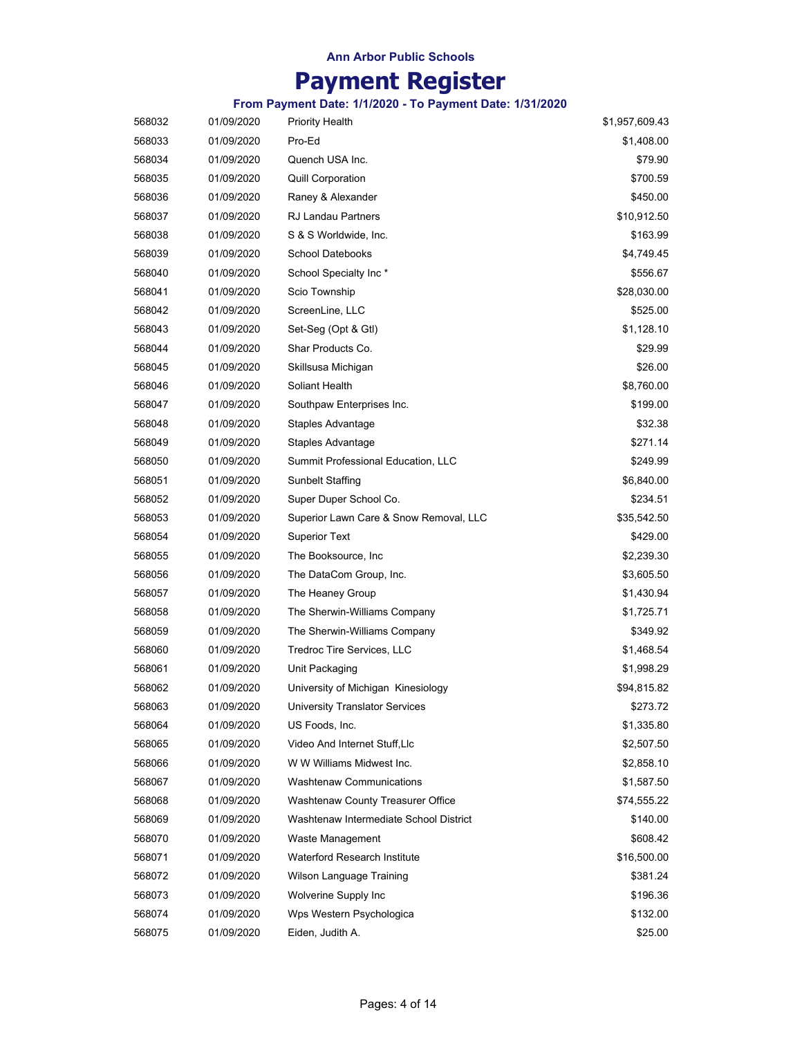# **Payment Register**

| 568032 | 01/09/2020 | <b>Priority Health</b>                 | \$1,957,609.43 |
|--------|------------|----------------------------------------|----------------|
| 568033 | 01/09/2020 | Pro-Ed                                 | \$1,408.00     |
| 568034 | 01/09/2020 | Quench USA Inc.                        | \$79.90        |
| 568035 | 01/09/2020 | <b>Quill Corporation</b>               | \$700.59       |
| 568036 | 01/09/2020 | Raney & Alexander                      | \$450.00       |
| 568037 | 01/09/2020 | <b>RJ Landau Partners</b>              | \$10,912.50    |
| 568038 | 01/09/2020 | S & S Worldwide, Inc.                  | \$163.99       |
| 568039 | 01/09/2020 | <b>School Datebooks</b>                | \$4,749.45     |
| 568040 | 01/09/2020 | School Specialty Inc*                  | \$556.67       |
| 568041 | 01/09/2020 | Scio Township                          | \$28,030.00    |
| 568042 | 01/09/2020 | ScreenLine, LLC                        | \$525.00       |
| 568043 | 01/09/2020 | Set-Seg (Opt & Gtl)                    | \$1,128.10     |
| 568044 | 01/09/2020 | Shar Products Co.                      | \$29.99        |
| 568045 | 01/09/2020 | Skillsusa Michigan                     | \$26.00        |
| 568046 | 01/09/2020 | Soliant Health                         | \$8,760.00     |
| 568047 | 01/09/2020 | Southpaw Enterprises Inc.              | \$199.00       |
| 568048 | 01/09/2020 | Staples Advantage                      | \$32.38        |
| 568049 | 01/09/2020 | Staples Advantage                      | \$271.14       |
| 568050 | 01/09/2020 | Summit Professional Education, LLC     | \$249.99       |
| 568051 | 01/09/2020 | Sunbelt Staffing                       | \$6,840.00     |
| 568052 | 01/09/2020 | Super Duper School Co.                 | \$234.51       |
| 568053 | 01/09/2020 | Superior Lawn Care & Snow Removal, LLC | \$35,542.50    |
| 568054 | 01/09/2020 | <b>Superior Text</b>                   | \$429.00       |
| 568055 | 01/09/2020 | The Booksource, Inc.                   | \$2,239.30     |
| 568056 | 01/09/2020 | The DataCom Group, Inc.                | \$3,605.50     |
| 568057 | 01/09/2020 | The Heaney Group                       | \$1,430.94     |
| 568058 | 01/09/2020 | The Sherwin-Williams Company           | \$1,725.71     |
| 568059 | 01/09/2020 | The Sherwin-Williams Company           | \$349.92       |
| 568060 | 01/09/2020 | <b>Tredroc Tire Services, LLC</b>      | \$1,468.54     |
| 568061 | 01/09/2020 | Unit Packaging                         | \$1,998.29     |
| 568062 | 01/09/2020 | University of Michigan Kinesiology     | \$94,815.82    |
| 568063 | 01/09/2020 | University Translator Services         | \$273.72       |
| 568064 | 01/09/2020 | US Foods, Inc.                         | \$1,335.80     |
| 568065 | 01/09/2020 | Video And Internet Stuff, Llc          | \$2,507.50     |
| 568066 | 01/09/2020 | W W Williams Midwest Inc.              | \$2,858.10     |
| 568067 | 01/09/2020 | <b>Washtenaw Communications</b>        | \$1,587.50     |
| 568068 | 01/09/2020 | Washtenaw County Treasurer Office      | \$74,555.22    |
| 568069 | 01/09/2020 | Washtenaw Intermediate School District | \$140.00       |
| 568070 | 01/09/2020 | Waste Management                       | \$608.42       |
| 568071 | 01/09/2020 | <b>Waterford Research Institute</b>    | \$16,500.00    |
| 568072 | 01/09/2020 | Wilson Language Training               | \$381.24       |
| 568073 | 01/09/2020 | Wolverine Supply Inc                   | \$196.36       |
| 568074 | 01/09/2020 | Wps Western Psychologica               | \$132.00       |
| 568075 | 01/09/2020 | Eiden, Judith A.                       | \$25.00        |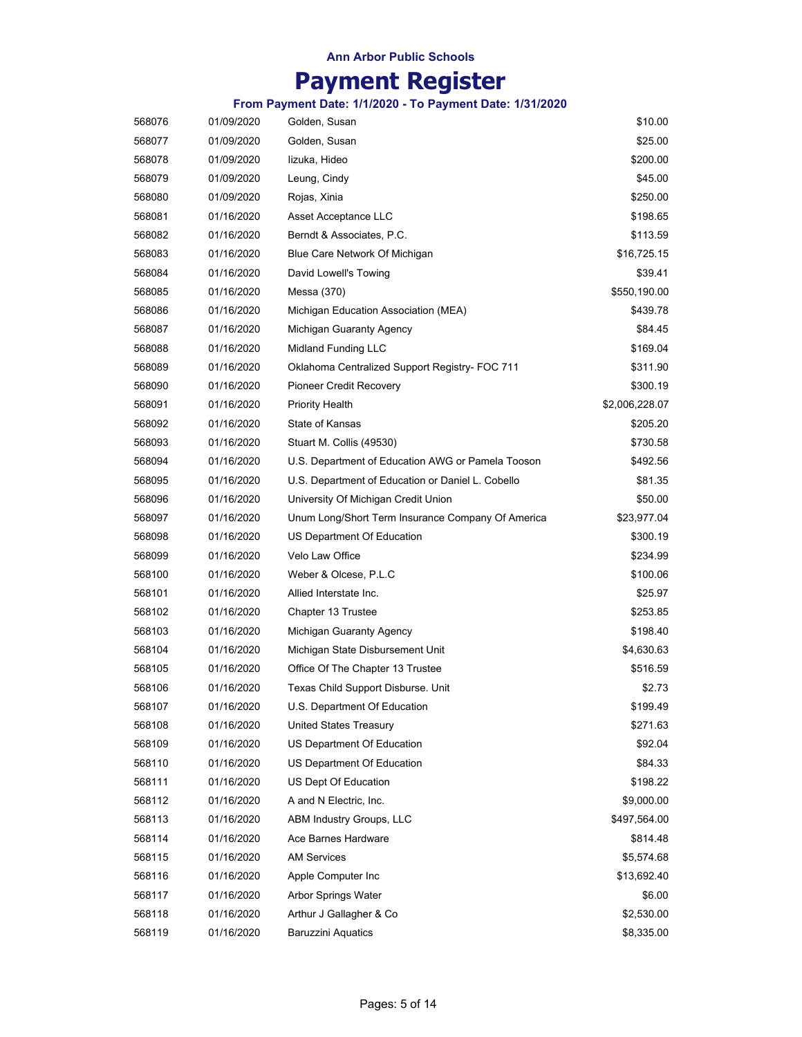# **Payment Register**

| 568076 | 01/09/2020 | Golden, Susan                                     | \$10.00        |
|--------|------------|---------------------------------------------------|----------------|
| 568077 | 01/09/2020 | Golden, Susan                                     | \$25.00        |
| 568078 | 01/09/2020 | lizuka, Hideo                                     | \$200.00       |
| 568079 | 01/09/2020 | Leung, Cindy                                      | \$45.00        |
| 568080 | 01/09/2020 | Rojas, Xinia                                      | \$250.00       |
| 568081 | 01/16/2020 | Asset Acceptance LLC                              | \$198.65       |
| 568082 | 01/16/2020 | Berndt & Associates, P.C.                         | \$113.59       |
| 568083 | 01/16/2020 | Blue Care Network Of Michigan                     | \$16,725.15    |
| 568084 | 01/16/2020 | David Lowell's Towing                             | \$39.41        |
| 568085 | 01/16/2020 | Messa (370)                                       | \$550,190.00   |
| 568086 | 01/16/2020 | Michigan Education Association (MEA)              | \$439.78       |
| 568087 | 01/16/2020 | Michigan Guaranty Agency                          | \$84.45        |
| 568088 | 01/16/2020 | <b>Midland Funding LLC</b>                        | \$169.04       |
| 568089 | 01/16/2020 | Oklahoma Centralized Support Registry- FOC 711    | \$311.90       |
| 568090 | 01/16/2020 | <b>Pioneer Credit Recovery</b>                    | \$300.19       |
| 568091 | 01/16/2020 | <b>Priority Health</b>                            | \$2,006,228.07 |
| 568092 | 01/16/2020 | State of Kansas                                   | \$205.20       |
| 568093 | 01/16/2020 | Stuart M. Collis (49530)                          | \$730.58       |
| 568094 | 01/16/2020 | U.S. Department of Education AWG or Pamela Tooson | \$492.56       |
| 568095 | 01/16/2020 | U.S. Department of Education or Daniel L. Cobello | \$81.35        |
| 568096 | 01/16/2020 | University Of Michigan Credit Union               | \$50.00        |
| 568097 | 01/16/2020 | Unum Long/Short Term Insurance Company Of America | \$23,977.04    |
| 568098 | 01/16/2020 | US Department Of Education                        | \$300.19       |
| 568099 | 01/16/2020 | Velo Law Office                                   | \$234.99       |
| 568100 | 01/16/2020 | Weber & Olcese, P.L.C                             | \$100.06       |
| 568101 | 01/16/2020 | Allied Interstate Inc.                            | \$25.97        |
| 568102 | 01/16/2020 | Chapter 13 Trustee                                | \$253.85       |
| 568103 | 01/16/2020 | Michigan Guaranty Agency                          | \$198.40       |
| 568104 | 01/16/2020 | Michigan State Disbursement Unit                  | \$4,630.63     |
| 568105 | 01/16/2020 | Office Of The Chapter 13 Trustee                  | \$516.59       |
| 568106 | 01/16/2020 | Texas Child Support Disburse. Unit                | \$2.73         |
| 568107 | 01/16/2020 | U.S. Department Of Education                      | \$199.49       |
| 568108 | 01/16/2020 | <b>United States Treasury</b>                     | \$271.63       |
| 568109 | 01/16/2020 | US Department Of Education                        | \$92.04        |
| 568110 | 01/16/2020 | US Department Of Education                        | \$84.33        |
| 568111 | 01/16/2020 | US Dept Of Education                              | \$198.22       |
| 568112 | 01/16/2020 | A and N Electric, Inc.                            | \$9,000.00     |
| 568113 | 01/16/2020 | <b>ABM Industry Groups, LLC</b>                   | \$497,564.00   |
| 568114 | 01/16/2020 | Ace Barnes Hardware                               | \$814.48       |
| 568115 | 01/16/2020 | <b>AM Services</b>                                | \$5,574.68     |
| 568116 | 01/16/2020 | Apple Computer Inc                                | \$13,692.40    |
| 568117 | 01/16/2020 | Arbor Springs Water                               | \$6.00         |
| 568118 | 01/16/2020 | Arthur J Gallagher & Co                           | \$2,530.00     |
| 568119 | 01/16/2020 | <b>Baruzzini Aquatics</b>                         | \$8,335.00     |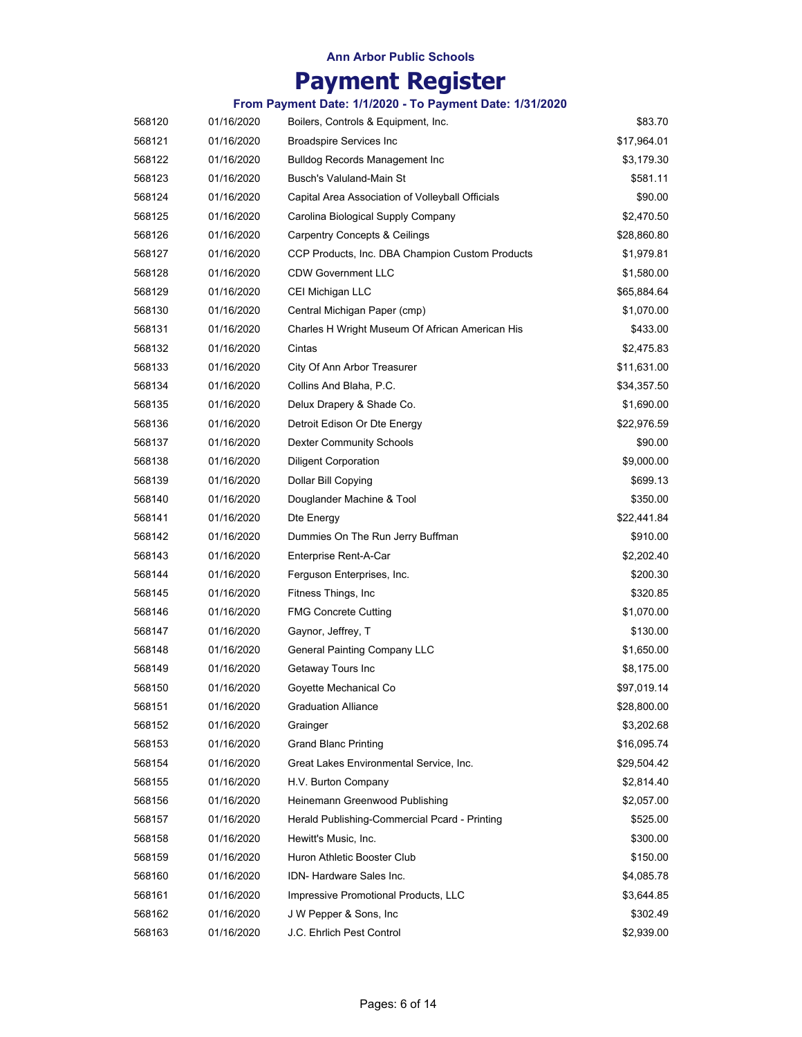# **Payment Register**

| 568120 | 01/16/2020 | Boilers, Controls & Equipment, Inc.              | \$83.70     |
|--------|------------|--------------------------------------------------|-------------|
| 568121 | 01/16/2020 | <b>Broadspire Services Inc</b>                   | \$17,964.01 |
| 568122 | 01/16/2020 | <b>Bulldog Records Management Inc</b>            | \$3,179.30  |
| 568123 | 01/16/2020 | Busch's Valuland-Main St                         | \$581.11    |
| 568124 | 01/16/2020 | Capital Area Association of Volleyball Officials | \$90.00     |
| 568125 | 01/16/2020 | Carolina Biological Supply Company               | \$2,470.50  |
| 568126 | 01/16/2020 | <b>Carpentry Concepts &amp; Ceilings</b>         | \$28,860.80 |
| 568127 | 01/16/2020 | CCP Products, Inc. DBA Champion Custom Products  | \$1,979.81  |
| 568128 | 01/16/2020 | <b>CDW Government LLC</b>                        | \$1,580.00  |
| 568129 | 01/16/2020 | CEI Michigan LLC                                 | \$65,884.64 |
| 568130 | 01/16/2020 | Central Michigan Paper (cmp)                     | \$1,070.00  |
| 568131 | 01/16/2020 | Charles H Wright Museum Of African American His  | \$433.00    |
| 568132 | 01/16/2020 | Cintas                                           | \$2,475.83  |
| 568133 | 01/16/2020 | City Of Ann Arbor Treasurer                      | \$11,631.00 |
| 568134 | 01/16/2020 | Collins And Blaha, P.C.                          | \$34,357.50 |
| 568135 | 01/16/2020 | Delux Drapery & Shade Co.                        | \$1,690.00  |
| 568136 | 01/16/2020 | Detroit Edison Or Dte Energy                     | \$22,976.59 |
| 568137 | 01/16/2020 | <b>Dexter Community Schools</b>                  | \$90.00     |
| 568138 | 01/16/2020 | <b>Diligent Corporation</b>                      | \$9,000.00  |
| 568139 | 01/16/2020 | Dollar Bill Copying                              | \$699.13    |
| 568140 | 01/16/2020 | Douglander Machine & Tool                        | \$350.00    |
| 568141 | 01/16/2020 | Dte Energy                                       | \$22,441.84 |
| 568142 | 01/16/2020 | Dummies On The Run Jerry Buffman                 | \$910.00    |
| 568143 | 01/16/2020 | Enterprise Rent-A-Car                            | \$2,202.40  |
| 568144 | 01/16/2020 | Ferguson Enterprises, Inc.                       | \$200.30    |
| 568145 | 01/16/2020 | Fitness Things, Inc.                             | \$320.85    |
| 568146 | 01/16/2020 | <b>FMG Concrete Cutting</b>                      | \$1,070.00  |
| 568147 | 01/16/2020 | Gaynor, Jeffrey, T                               | \$130.00    |
| 568148 | 01/16/2020 | <b>General Painting Company LLC</b>              | \$1,650.00  |
| 568149 | 01/16/2020 | Getaway Tours Inc                                | \$8,175.00  |
| 568150 | 01/16/2020 | Goyette Mechanical Co                            | \$97,019.14 |
| 568151 | 01/16/2020 | <b>Graduation Alliance</b>                       | \$28,800.00 |
| 568152 | 01/16/2020 | Grainger                                         | \$3,202.68  |
| 568153 | 01/16/2020 | <b>Grand Blanc Printing</b>                      | \$16,095.74 |
| 568154 | 01/16/2020 | Great Lakes Environmental Service, Inc.          | \$29,504.42 |
| 568155 | 01/16/2020 | H.V. Burton Company                              | \$2,814.40  |
| 568156 | 01/16/2020 | Heinemann Greenwood Publishing                   | \$2,057.00  |
| 568157 | 01/16/2020 | Herald Publishing-Commercial Pcard - Printing    | \$525.00    |
| 568158 | 01/16/2020 | Hewitt's Music, Inc.                             | \$300.00    |
| 568159 | 01/16/2020 | Huron Athletic Booster Club                      | \$150.00    |
| 568160 | 01/16/2020 | IDN- Hardware Sales Inc.                         | \$4,085.78  |
| 568161 | 01/16/2020 | Impressive Promotional Products, LLC             | \$3,644.85  |
| 568162 | 01/16/2020 | J W Pepper & Sons, Inc.                          | \$302.49    |
| 568163 | 01/16/2020 | J.C. Ehrlich Pest Control                        | \$2,939.00  |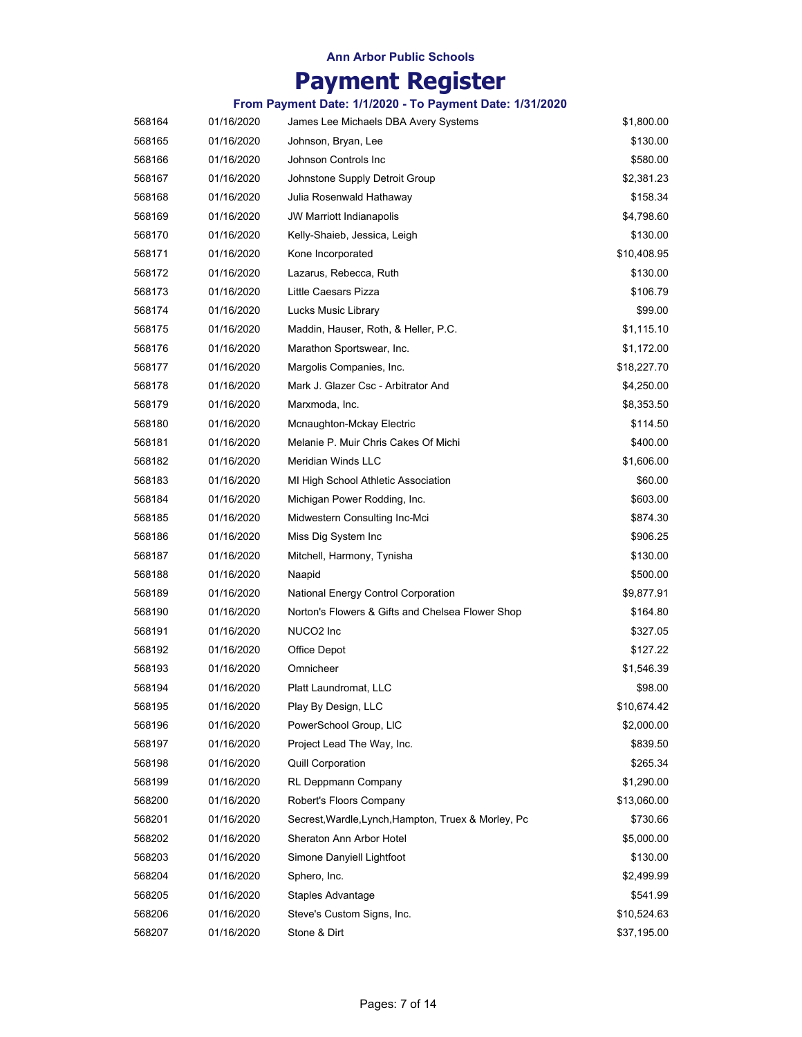# **Payment Register**

| 568164 | 01/16/2020 | James Lee Michaels DBA Avery Systems                | \$1,800.00  |
|--------|------------|-----------------------------------------------------|-------------|
| 568165 | 01/16/2020 | Johnson, Bryan, Lee                                 | \$130.00    |
| 568166 | 01/16/2020 | Johnson Controls Inc                                | \$580.00    |
| 568167 | 01/16/2020 | Johnstone Supply Detroit Group                      | \$2,381.23  |
| 568168 | 01/16/2020 | Julia Rosenwald Hathaway                            | \$158.34    |
| 568169 | 01/16/2020 | JW Marriott Indianapolis                            | \$4,798.60  |
| 568170 | 01/16/2020 | Kelly-Shaieb, Jessica, Leigh                        | \$130.00    |
| 568171 | 01/16/2020 | Kone Incorporated                                   | \$10,408.95 |
| 568172 | 01/16/2020 | Lazarus, Rebecca, Ruth                              | \$130.00    |
| 568173 | 01/16/2020 | Little Caesars Pizza                                | \$106.79    |
| 568174 | 01/16/2020 | Lucks Music Library                                 | \$99.00     |
| 568175 | 01/16/2020 | Maddin, Hauser, Roth, & Heller, P.C.                | \$1,115.10  |
| 568176 | 01/16/2020 | Marathon Sportswear, Inc.                           | \$1,172.00  |
| 568177 | 01/16/2020 | Margolis Companies, Inc.                            | \$18,227.70 |
| 568178 | 01/16/2020 | Mark J. Glazer Csc - Arbitrator And                 | \$4,250.00  |
| 568179 | 01/16/2020 | Marxmoda, Inc.                                      | \$8,353.50  |
| 568180 | 01/16/2020 | Mcnaughton-Mckay Electric                           | \$114.50    |
| 568181 | 01/16/2020 | Melanie P. Muir Chris Cakes Of Michi                | \$400.00    |
| 568182 | 01/16/2020 | Meridian Winds LLC                                  | \$1,606.00  |
| 568183 | 01/16/2020 | MI High School Athletic Association                 | \$60.00     |
| 568184 | 01/16/2020 | Michigan Power Rodding, Inc.                        | \$603.00    |
| 568185 | 01/16/2020 | Midwestern Consulting Inc-Mci                       | \$874.30    |
| 568186 | 01/16/2020 | Miss Dig System Inc                                 | \$906.25    |
| 568187 | 01/16/2020 | Mitchell, Harmony, Tynisha                          | \$130.00    |
| 568188 | 01/16/2020 | Naapid                                              | \$500.00    |
| 568189 | 01/16/2020 | National Energy Control Corporation                 | \$9,877.91  |
| 568190 | 01/16/2020 | Norton's Flowers & Gifts and Chelsea Flower Shop    | \$164.80    |
| 568191 | 01/16/2020 | NUCO <sub>2</sub> Inc                               | \$327.05    |
| 568192 | 01/16/2020 | Office Depot                                        | \$127.22    |
| 568193 | 01/16/2020 | Omnicheer                                           | \$1,546.39  |
| 568194 | 01/16/2020 | Platt Laundromat. LLC                               | \$98.00     |
| 568195 | 01/16/2020 | Play By Design, LLC                                 | \$10,674.42 |
| 568196 | 01/16/2020 | PowerSchool Group, LIC                              | \$2,000.00  |
| 568197 | 01/16/2020 | Project Lead The Way, Inc.                          | \$839.50    |
| 568198 | 01/16/2020 | <b>Quill Corporation</b>                            | \$265.34    |
| 568199 | 01/16/2020 | RL Deppmann Company                                 | \$1,290.00  |
| 568200 | 01/16/2020 | Robert's Floors Company                             | \$13,060.00 |
| 568201 | 01/16/2020 | Secrest, Wardle, Lynch, Hampton, Truex & Morley, Pc | \$730.66    |
| 568202 | 01/16/2020 | Sheraton Ann Arbor Hotel                            | \$5,000.00  |
| 568203 | 01/16/2020 | Simone Danyiell Lightfoot                           | \$130.00    |
| 568204 | 01/16/2020 | Sphero, Inc.                                        | \$2,499.99  |
| 568205 | 01/16/2020 | Staples Advantage                                   | \$541.99    |
| 568206 | 01/16/2020 | Steve's Custom Signs, Inc.                          | \$10,524.63 |
| 568207 | 01/16/2020 | Stone & Dirt                                        | \$37,195.00 |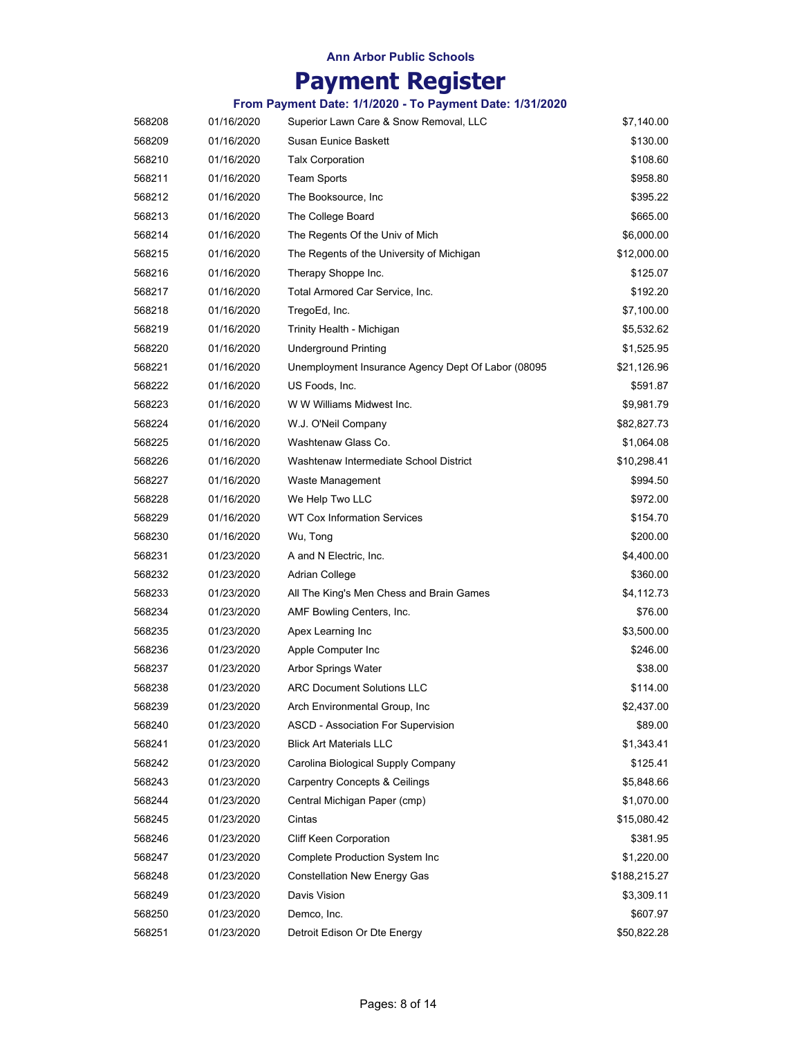# **Payment Register**

| 568208 | 01/16/2020 | Superior Lawn Care & Snow Removal, LLC             | \$7,140.00   |
|--------|------------|----------------------------------------------------|--------------|
| 568209 | 01/16/2020 | Susan Eunice Baskett                               | \$130.00     |
| 568210 | 01/16/2020 | <b>Talx Corporation</b>                            | \$108.60     |
| 568211 | 01/16/2020 | <b>Team Sports</b>                                 | \$958.80     |
| 568212 | 01/16/2020 | The Booksource, Inc.                               | \$395.22     |
| 568213 | 01/16/2020 | The College Board                                  | \$665.00     |
| 568214 | 01/16/2020 | The Regents Of the Univ of Mich                    | \$6,000.00   |
| 568215 | 01/16/2020 | The Regents of the University of Michigan          | \$12,000.00  |
| 568216 | 01/16/2020 | Therapy Shoppe Inc.                                | \$125.07     |
| 568217 | 01/16/2020 | Total Armored Car Service, Inc.                    | \$192.20     |
| 568218 | 01/16/2020 | TregoEd, Inc.                                      | \$7,100.00   |
| 568219 | 01/16/2020 | Trinity Health - Michigan                          | \$5,532.62   |
| 568220 | 01/16/2020 | <b>Underground Printing</b>                        | \$1,525.95   |
| 568221 | 01/16/2020 | Unemployment Insurance Agency Dept Of Labor (08095 | \$21,126.96  |
| 568222 | 01/16/2020 | US Foods, Inc.                                     | \$591.87     |
| 568223 | 01/16/2020 | W W Williams Midwest Inc.                          | \$9,981.79   |
| 568224 | 01/16/2020 | W.J. O'Neil Company                                | \$82,827.73  |
| 568225 | 01/16/2020 | Washtenaw Glass Co.                                | \$1,064.08   |
| 568226 | 01/16/2020 | Washtenaw Intermediate School District             | \$10,298.41  |
| 568227 | 01/16/2020 | Waste Management                                   | \$994.50     |
| 568228 | 01/16/2020 | We Help Two LLC                                    | \$972.00     |
| 568229 | 01/16/2020 | WT Cox Information Services                        | \$154.70     |
| 568230 | 01/16/2020 | Wu, Tong                                           | \$200.00     |
| 568231 | 01/23/2020 | A and N Electric, Inc.                             | \$4,400.00   |
| 568232 | 01/23/2020 | Adrian College                                     | \$360.00     |
| 568233 | 01/23/2020 | All The King's Men Chess and Brain Games           | \$4,112.73   |
| 568234 | 01/23/2020 | AMF Bowling Centers, Inc.                          | \$76.00      |
| 568235 | 01/23/2020 | Apex Learning Inc                                  | \$3,500.00   |
| 568236 | 01/23/2020 | Apple Computer Inc                                 | \$246.00     |
| 568237 | 01/23/2020 | Arbor Springs Water                                | \$38.00      |
| 568238 | 01/23/2020 | <b>ARC Document Solutions LLC</b>                  | \$114.00     |
| 568239 | 01/23/2020 | Arch Environmental Group, Inc                      | \$2,437.00   |
| 568240 | 01/23/2020 | <b>ASCD - Association For Supervision</b>          | \$89.00      |
| 568241 | 01/23/2020 | <b>Blick Art Materials LLC</b>                     | \$1,343.41   |
| 568242 | 01/23/2020 | Carolina Biological Supply Company                 | \$125.41     |
| 568243 | 01/23/2020 | <b>Carpentry Concepts &amp; Ceilings</b>           | \$5,848.66   |
| 568244 | 01/23/2020 | Central Michigan Paper (cmp)                       | \$1,070.00   |
| 568245 | 01/23/2020 | Cintas                                             | \$15,080.42  |
| 568246 | 01/23/2020 | <b>Cliff Keen Corporation</b>                      | \$381.95     |
| 568247 | 01/23/2020 | Complete Production System Inc                     | \$1,220.00   |
| 568248 | 01/23/2020 | <b>Constellation New Energy Gas</b>                | \$188,215.27 |
| 568249 | 01/23/2020 | Davis Vision                                       | \$3,309.11   |
| 568250 | 01/23/2020 | Demco, Inc.                                        | \$607.97     |
| 568251 | 01/23/2020 | Detroit Edison Or Dte Energy                       | \$50,822.28  |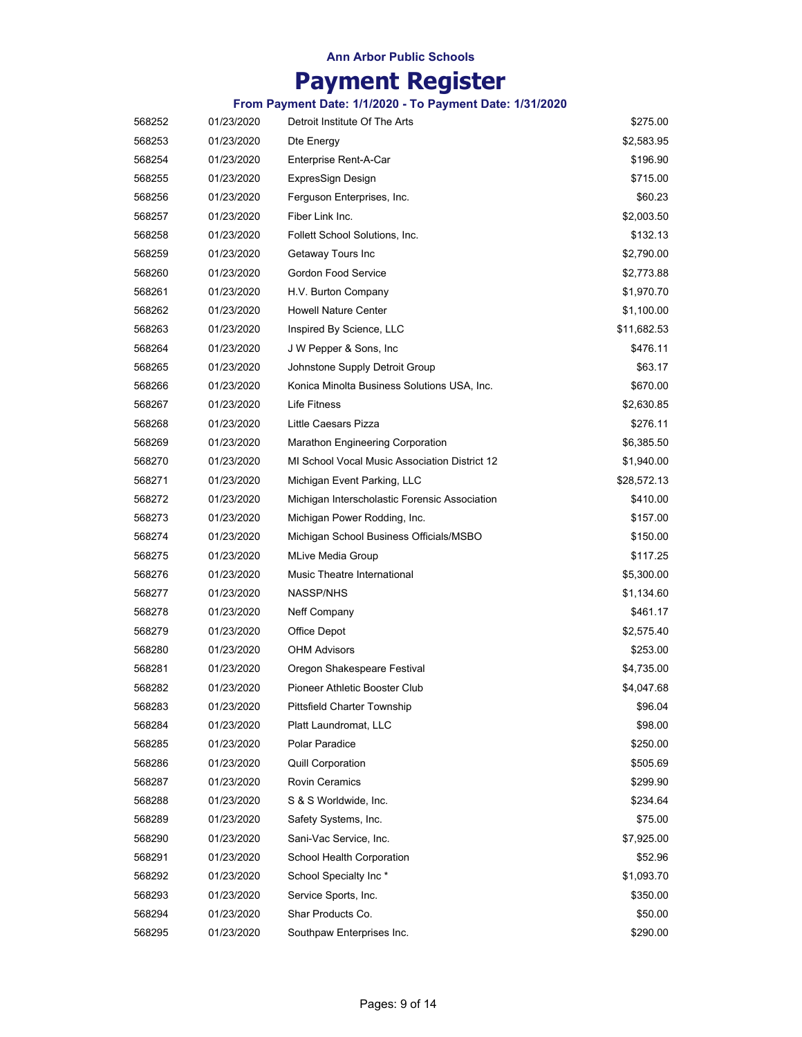# **Payment Register**

| 568252 | 01/23/2020 | Detroit Institute Of The Arts                 | \$275.00    |
|--------|------------|-----------------------------------------------|-------------|
| 568253 | 01/23/2020 | Dte Energy                                    | \$2,583.95  |
| 568254 | 01/23/2020 | Enterprise Rent-A-Car                         | \$196.90    |
| 568255 | 01/23/2020 | ExpresSign Design                             | \$715.00    |
| 568256 | 01/23/2020 | Ferguson Enterprises, Inc.                    | \$60.23     |
| 568257 | 01/23/2020 | Fiber Link Inc.                               | \$2,003.50  |
| 568258 | 01/23/2020 | Follett School Solutions, Inc.                | \$132.13    |
| 568259 | 01/23/2020 | Getaway Tours Inc                             | \$2,790.00  |
| 568260 | 01/23/2020 | Gordon Food Service                           | \$2,773.88  |
| 568261 | 01/23/2020 | H.V. Burton Company                           | \$1,970.70  |
| 568262 | 01/23/2020 | <b>Howell Nature Center</b>                   | \$1,100.00  |
| 568263 | 01/23/2020 | Inspired By Science, LLC                      | \$11,682.53 |
| 568264 | 01/23/2020 | J W Pepper & Sons, Inc.                       | \$476.11    |
| 568265 | 01/23/2020 | Johnstone Supply Detroit Group                | \$63.17     |
| 568266 | 01/23/2020 | Konica Minolta Business Solutions USA, Inc.   | \$670.00    |
| 568267 | 01/23/2020 | Life Fitness                                  | \$2,630.85  |
| 568268 | 01/23/2020 | Little Caesars Pizza                          | \$276.11    |
| 568269 | 01/23/2020 | Marathon Engineering Corporation              | \$6,385.50  |
| 568270 | 01/23/2020 | MI School Vocal Music Association District 12 | \$1,940.00  |
| 568271 | 01/23/2020 | Michigan Event Parking, LLC                   | \$28,572.13 |
| 568272 | 01/23/2020 | Michigan Interscholastic Forensic Association | \$410.00    |
| 568273 | 01/23/2020 | Michigan Power Rodding, Inc.                  | \$157.00    |
| 568274 | 01/23/2020 | Michigan School Business Officials/MSBO       | \$150.00    |
| 568275 | 01/23/2020 | <b>MLive Media Group</b>                      | \$117.25    |
| 568276 | 01/23/2020 | Music Theatre International                   | \$5,300.00  |
| 568277 | 01/23/2020 | NASSP/NHS                                     | \$1,134.60  |
| 568278 | 01/23/2020 | Neff Company                                  | \$461.17    |
| 568279 | 01/23/2020 | Office Depot                                  | \$2,575.40  |
| 568280 | 01/23/2020 | <b>OHM Advisors</b>                           | \$253.00    |
| 568281 | 01/23/2020 | Oregon Shakespeare Festival                   | \$4,735.00  |
| 568282 | 01/23/2020 | Pioneer Athletic Booster Club                 | \$4,047.68  |
| 568283 | 01/23/2020 | <b>Pittsfield Charter Township</b>            | \$96.04     |
| 568284 | 01/23/2020 | Platt Laundromat, LLC                         | \$98.00     |
| 568285 | 01/23/2020 | Polar Paradice                                | \$250.00    |
| 568286 | 01/23/2020 | <b>Quill Corporation</b>                      | \$505.69    |
| 568287 | 01/23/2020 | <b>Rovin Ceramics</b>                         | \$299.90    |
| 568288 | 01/23/2020 | S & S Worldwide, Inc.                         | \$234.64    |
| 568289 | 01/23/2020 | Safety Systems, Inc.                          | \$75.00     |
| 568290 | 01/23/2020 | Sani-Vac Service, Inc.                        | \$7,925.00  |
| 568291 | 01/23/2020 | School Health Corporation                     | \$52.96     |
| 568292 | 01/23/2020 | School Specialty Inc*                         | \$1,093.70  |
| 568293 | 01/23/2020 | Service Sports, Inc.                          | \$350.00    |
| 568294 | 01/23/2020 | Shar Products Co.                             | \$50.00     |
| 568295 | 01/23/2020 | Southpaw Enterprises Inc.                     | \$290.00    |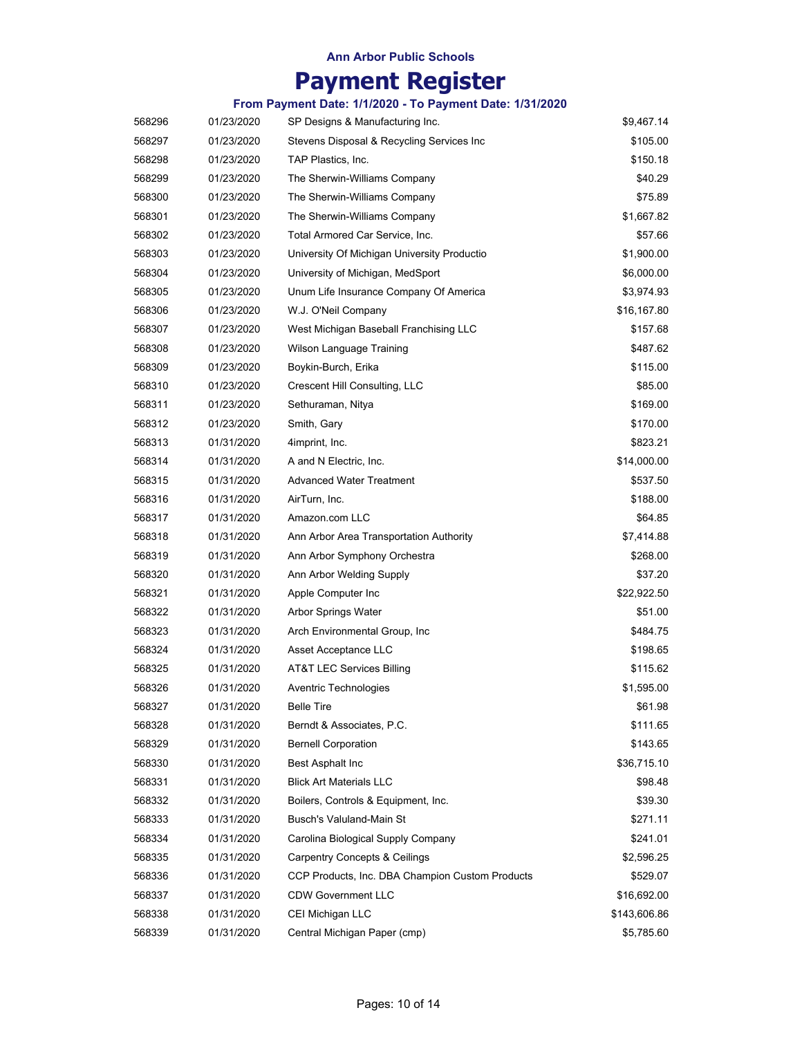# **Payment Register**

| 568296 | 01/23/2020 | SP Designs & Manufacturing Inc.                 | \$9,467.14   |
|--------|------------|-------------------------------------------------|--------------|
| 568297 | 01/23/2020 | Stevens Disposal & Recycling Services Inc       | \$105.00     |
| 568298 | 01/23/2020 | TAP Plastics, Inc.                              | \$150.18     |
| 568299 | 01/23/2020 | The Sherwin-Williams Company                    | \$40.29      |
| 568300 | 01/23/2020 | The Sherwin-Williams Company                    | \$75.89      |
| 568301 | 01/23/2020 | The Sherwin-Williams Company                    | \$1,667.82   |
| 568302 | 01/23/2020 | Total Armored Car Service, Inc.                 | \$57.66      |
| 568303 | 01/23/2020 | University Of Michigan University Productio     | \$1,900.00   |
| 568304 | 01/23/2020 | University of Michigan, MedSport                | \$6,000.00   |
| 568305 | 01/23/2020 | Unum Life Insurance Company Of America          | \$3,974.93   |
| 568306 | 01/23/2020 | W.J. O'Neil Company                             | \$16,167.80  |
| 568307 | 01/23/2020 | West Michigan Baseball Franchising LLC          | \$157.68     |
| 568308 | 01/23/2020 | Wilson Language Training                        | \$487.62     |
| 568309 | 01/23/2020 | Boykin-Burch, Erika                             | \$115.00     |
| 568310 | 01/23/2020 | Crescent Hill Consulting, LLC                   | \$85.00      |
| 568311 | 01/23/2020 | Sethuraman, Nitya                               | \$169.00     |
| 568312 | 01/23/2020 | Smith, Gary                                     | \$170.00     |
| 568313 | 01/31/2020 | 4imprint, Inc.                                  | \$823.21     |
| 568314 | 01/31/2020 | A and N Electric, Inc.                          | \$14,000.00  |
| 568315 | 01/31/2020 | <b>Advanced Water Treatment</b>                 | \$537.50     |
| 568316 | 01/31/2020 | AirTurn, Inc.                                   | \$188.00     |
| 568317 | 01/31/2020 | Amazon.com LLC                                  | \$64.85      |
| 568318 | 01/31/2020 | Ann Arbor Area Transportation Authority         | \$7,414.88   |
| 568319 | 01/31/2020 | Ann Arbor Symphony Orchestra                    | \$268.00     |
| 568320 | 01/31/2020 | Ann Arbor Welding Supply                        | \$37.20      |
| 568321 | 01/31/2020 | Apple Computer Inc                              | \$22,922.50  |
| 568322 | 01/31/2020 | Arbor Springs Water                             | \$51.00      |
| 568323 | 01/31/2020 | Arch Environmental Group, Inc.                  | \$484.75     |
| 568324 | 01/31/2020 | Asset Acceptance LLC                            | \$198.65     |
| 568325 | 01/31/2020 | AT&T LEC Services Billing                       | \$115.62     |
| 568326 | 01/31/2020 | Aventric Technologies                           | \$1,595.00   |
| 568327 | 01/31/2020 | <b>Belle Tire</b>                               | \$61.98      |
| 568328 | 01/31/2020 | Berndt & Associates, P.C.                       | \$111.65     |
| 568329 | 01/31/2020 | <b>Bernell Corporation</b>                      | \$143.65     |
| 568330 | 01/31/2020 | Best Asphalt Inc                                | \$36,715.10  |
| 568331 | 01/31/2020 | <b>Blick Art Materials LLC</b>                  | \$98.48      |
| 568332 | 01/31/2020 | Boilers, Controls & Equipment, Inc.             | \$39.30      |
| 568333 | 01/31/2020 | Busch's Valuland-Main St                        | \$271.11     |
| 568334 | 01/31/2020 | Carolina Biological Supply Company              | \$241.01     |
| 568335 | 01/31/2020 | <b>Carpentry Concepts &amp; Ceilings</b>        | \$2,596.25   |
| 568336 | 01/31/2020 | CCP Products, Inc. DBA Champion Custom Products | \$529.07     |
| 568337 | 01/31/2020 | <b>CDW Government LLC</b>                       | \$16,692.00  |
| 568338 | 01/31/2020 | CEI Michigan LLC                                | \$143,606.86 |
| 568339 | 01/31/2020 | Central Michigan Paper (cmp)                    | \$5,785.60   |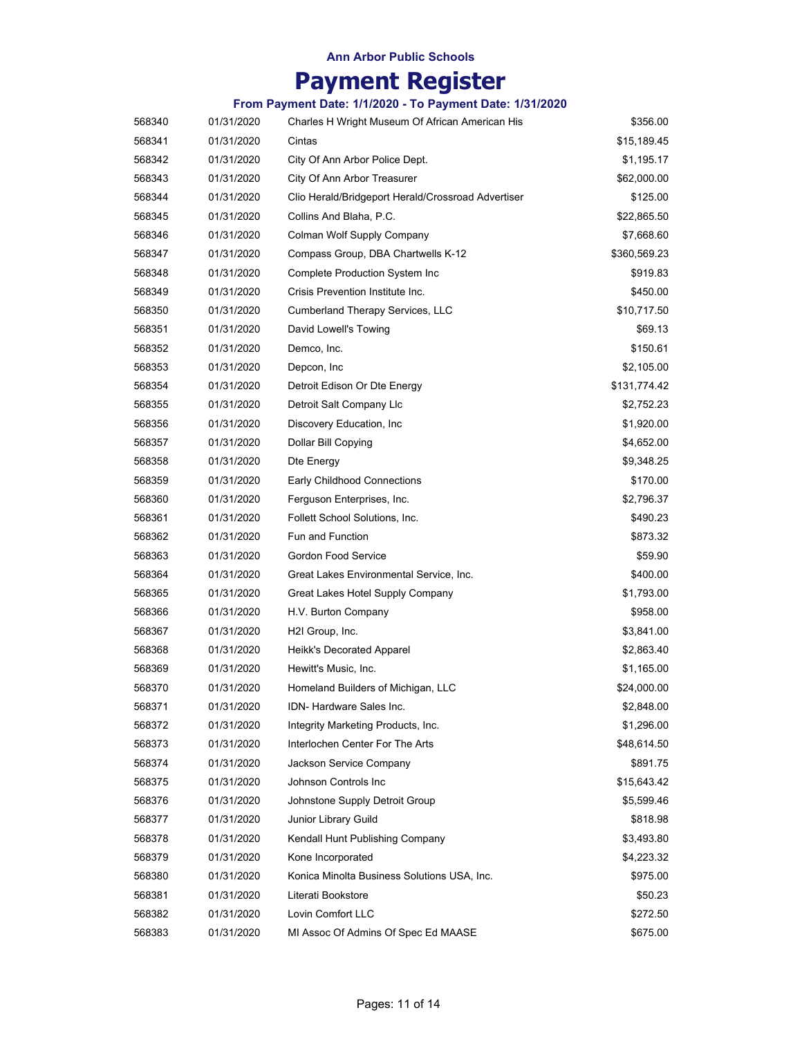# **Payment Register**

| 568340 | 01/31/2020 | Charles H Wright Museum Of African American His    | \$356.00     |
|--------|------------|----------------------------------------------------|--------------|
| 568341 | 01/31/2020 | Cintas                                             | \$15,189.45  |
| 568342 | 01/31/2020 | City Of Ann Arbor Police Dept.                     | \$1,195.17   |
| 568343 | 01/31/2020 | City Of Ann Arbor Treasurer                        | \$62,000.00  |
| 568344 | 01/31/2020 | Clio Herald/Bridgeport Herald/Crossroad Advertiser | \$125.00     |
| 568345 | 01/31/2020 | Collins And Blaha, P.C.                            | \$22,865.50  |
| 568346 | 01/31/2020 | Colman Wolf Supply Company                         | \$7,668.60   |
| 568347 | 01/31/2020 | Compass Group, DBA Chartwells K-12                 | \$360,569.23 |
| 568348 | 01/31/2020 | <b>Complete Production System Inc</b>              | \$919.83     |
| 568349 | 01/31/2020 | Crisis Prevention Institute Inc.                   | \$450.00     |
| 568350 | 01/31/2020 | Cumberland Therapy Services, LLC                   | \$10,717.50  |
| 568351 | 01/31/2020 | David Lowell's Towing                              | \$69.13      |
| 568352 | 01/31/2020 | Demco, Inc.                                        | \$150.61     |
| 568353 | 01/31/2020 | Depcon, Inc                                        | \$2,105.00   |
| 568354 | 01/31/2020 | Detroit Edison Or Dte Energy                       | \$131,774.42 |
| 568355 | 01/31/2020 | Detroit Salt Company Llc                           | \$2,752.23   |
| 568356 | 01/31/2020 | Discovery Education, Inc.                          | \$1,920.00   |
| 568357 | 01/31/2020 | Dollar Bill Copying                                | \$4,652.00   |
| 568358 | 01/31/2020 | Dte Energy                                         | \$9,348.25   |
| 568359 | 01/31/2020 | Early Childhood Connections                        | \$170.00     |
| 568360 | 01/31/2020 | Ferguson Enterprises, Inc.                         | \$2,796.37   |
| 568361 | 01/31/2020 | Follett School Solutions, Inc.                     | \$490.23     |
| 568362 | 01/31/2020 | <b>Fun and Function</b>                            | \$873.32     |
| 568363 | 01/31/2020 | Gordon Food Service                                | \$59.90      |
| 568364 | 01/31/2020 | Great Lakes Environmental Service, Inc.            | \$400.00     |
| 568365 | 01/31/2020 | Great Lakes Hotel Supply Company                   | \$1,793.00   |
| 568366 | 01/31/2020 | H.V. Burton Company                                | \$958.00     |
| 568367 | 01/31/2020 | H2I Group, Inc.                                    | \$3,841.00   |
| 568368 | 01/31/2020 | Heikk's Decorated Apparel                          | \$2,863.40   |
| 568369 | 01/31/2020 | Hewitt's Music, Inc.                               | \$1,165.00   |
| 568370 | 01/31/2020 | Homeland Builders of Michigan, LLC                 | \$24,000.00  |
| 568371 | 01/31/2020 | IDN- Hardware Sales Inc.                           | \$2,848.00   |
| 568372 | 01/31/2020 | Integrity Marketing Products, Inc.                 | \$1,296.00   |
| 568373 | 01/31/2020 | Interlochen Center For The Arts                    | \$48,614.50  |
| 568374 | 01/31/2020 | Jackson Service Company                            | \$891.75     |
| 568375 | 01/31/2020 | Johnson Controls Inc                               | \$15,643.42  |
| 568376 | 01/31/2020 | Johnstone Supply Detroit Group                     | \$5,599.46   |
| 568377 | 01/31/2020 | Junior Library Guild                               | \$818.98     |
| 568378 | 01/31/2020 | Kendall Hunt Publishing Company                    | \$3,493.80   |
| 568379 | 01/31/2020 | Kone Incorporated                                  | \$4,223.32   |
| 568380 | 01/31/2020 | Konica Minolta Business Solutions USA, Inc.        | \$975.00     |
| 568381 | 01/31/2020 | Literati Bookstore                                 | \$50.23      |
| 568382 | 01/31/2020 | Lovin Comfort LLC                                  | \$272.50     |
| 568383 | 01/31/2020 | MI Assoc Of Admins Of Spec Ed MAASE                | \$675.00     |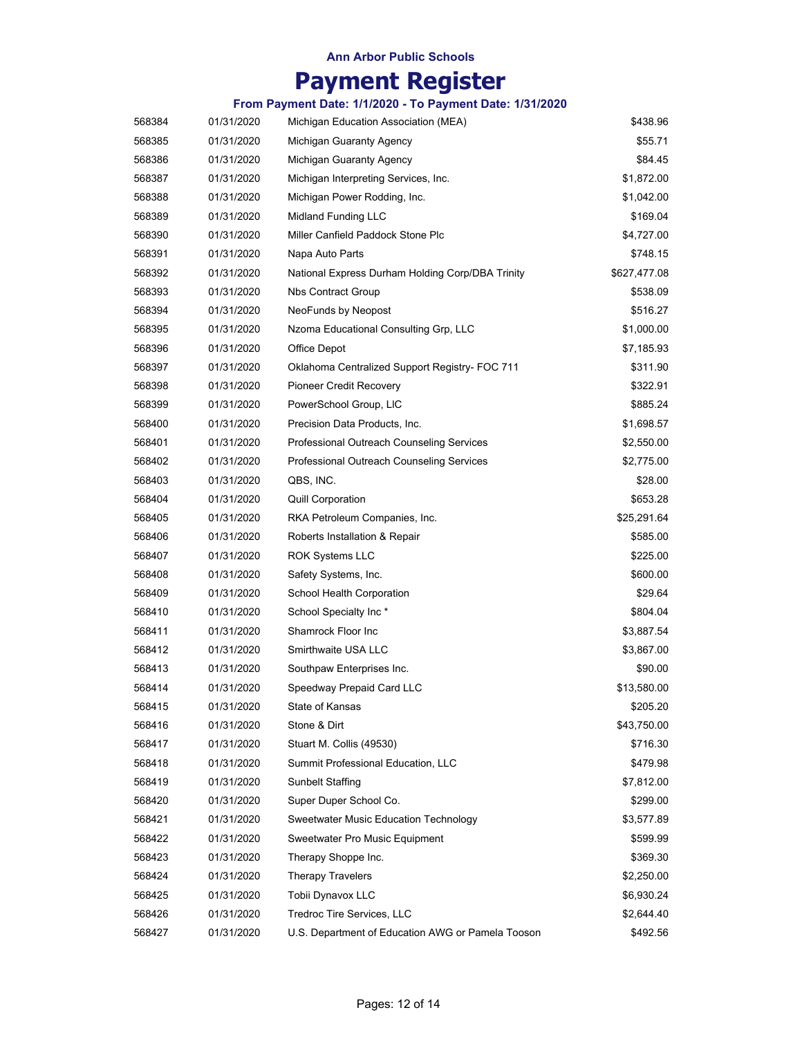# **Payment Register**

| 568384 | 01/31/2020 | Michigan Education Association (MEA)              | \$438.96     |
|--------|------------|---------------------------------------------------|--------------|
| 568385 | 01/31/2020 | Michigan Guaranty Agency                          | \$55.71      |
| 568386 | 01/31/2020 | Michigan Guaranty Agency                          | \$84.45      |
| 568387 | 01/31/2020 | Michigan Interpreting Services, Inc.              | \$1,872.00   |
| 568388 | 01/31/2020 | Michigan Power Rodding, Inc.                      | \$1,042.00   |
| 568389 | 01/31/2020 | Midland Funding LLC                               | \$169.04     |
| 568390 | 01/31/2020 | Miller Canfield Paddock Stone Plc                 | \$4,727.00   |
| 568391 | 01/31/2020 | Napa Auto Parts                                   | \$748.15     |
| 568392 | 01/31/2020 | National Express Durham Holding Corp/DBA Trinity  | \$627,477.08 |
| 568393 | 01/31/2020 | <b>Nbs Contract Group</b>                         | \$538.09     |
| 568394 | 01/31/2020 | NeoFunds by Neopost                               | \$516.27     |
| 568395 | 01/31/2020 | Nzoma Educational Consulting Grp, LLC             | \$1,000.00   |
| 568396 | 01/31/2020 | Office Depot                                      | \$7,185.93   |
| 568397 | 01/31/2020 | Oklahoma Centralized Support Registry- FOC 711    | \$311.90     |
| 568398 | 01/31/2020 | <b>Pioneer Credit Recovery</b>                    | \$322.91     |
| 568399 | 01/31/2020 | PowerSchool Group, LIC                            | \$885.24     |
| 568400 | 01/31/2020 | Precision Data Products, Inc.                     | \$1,698.57   |
| 568401 | 01/31/2020 | <b>Professional Outreach Counseling Services</b>  | \$2,550.00   |
| 568402 | 01/31/2020 | Professional Outreach Counseling Services         | \$2,775.00   |
| 568403 | 01/31/2020 | QBS, INC.                                         | \$28.00      |
| 568404 | 01/31/2020 | <b>Quill Corporation</b>                          | \$653.28     |
| 568405 | 01/31/2020 | RKA Petroleum Companies, Inc.                     | \$25,291.64  |
| 568406 | 01/31/2020 | Roberts Installation & Repair                     | \$585.00     |
| 568407 | 01/31/2020 | <b>ROK Systems LLC</b>                            | \$225.00     |
| 568408 | 01/31/2020 | Safety Systems, Inc.                              | \$600.00     |
| 568409 | 01/31/2020 | School Health Corporation                         | \$29.64      |
| 568410 | 01/31/2020 | School Specialty Inc*                             | \$804.04     |
| 568411 | 01/31/2020 | Shamrock Floor Inc                                | \$3,887.54   |
| 568412 | 01/31/2020 | Smirthwaite USA LLC                               | \$3,867.00   |
| 568413 | 01/31/2020 | Southpaw Enterprises Inc.                         | \$90.00      |
| 568414 | 01/31/2020 | Speedway Prepaid Card LLC                         | \$13,580.00  |
| 568415 | 01/31/2020 | State of Kansas                                   | \$205.20     |
| 568416 | 01/31/2020 | Stone & Dirt                                      | \$43,750.00  |
| 568417 | 01/31/2020 | Stuart M. Collis (49530)                          | \$716.30     |
| 568418 | 01/31/2020 | Summit Professional Education, LLC                | \$479.98     |
| 568419 | 01/31/2020 | Sunbelt Staffing                                  | \$7,812.00   |
| 568420 | 01/31/2020 | Super Duper School Co.                            | \$299.00     |
| 568421 | 01/31/2020 | Sweetwater Music Education Technology             | \$3,577.89   |
| 568422 | 01/31/2020 | Sweetwater Pro Music Equipment                    | \$599.99     |
| 568423 | 01/31/2020 | Therapy Shoppe Inc.                               | \$369.30     |
| 568424 | 01/31/2020 | <b>Therapy Travelers</b>                          | \$2,250.00   |
| 568425 | 01/31/2020 | Tobii Dynavox LLC                                 | \$6,930.24   |
| 568426 | 01/31/2020 | Tredroc Tire Services, LLC                        | \$2,644.40   |
| 568427 | 01/31/2020 | U.S. Department of Education AWG or Pamela Tooson | \$492.56     |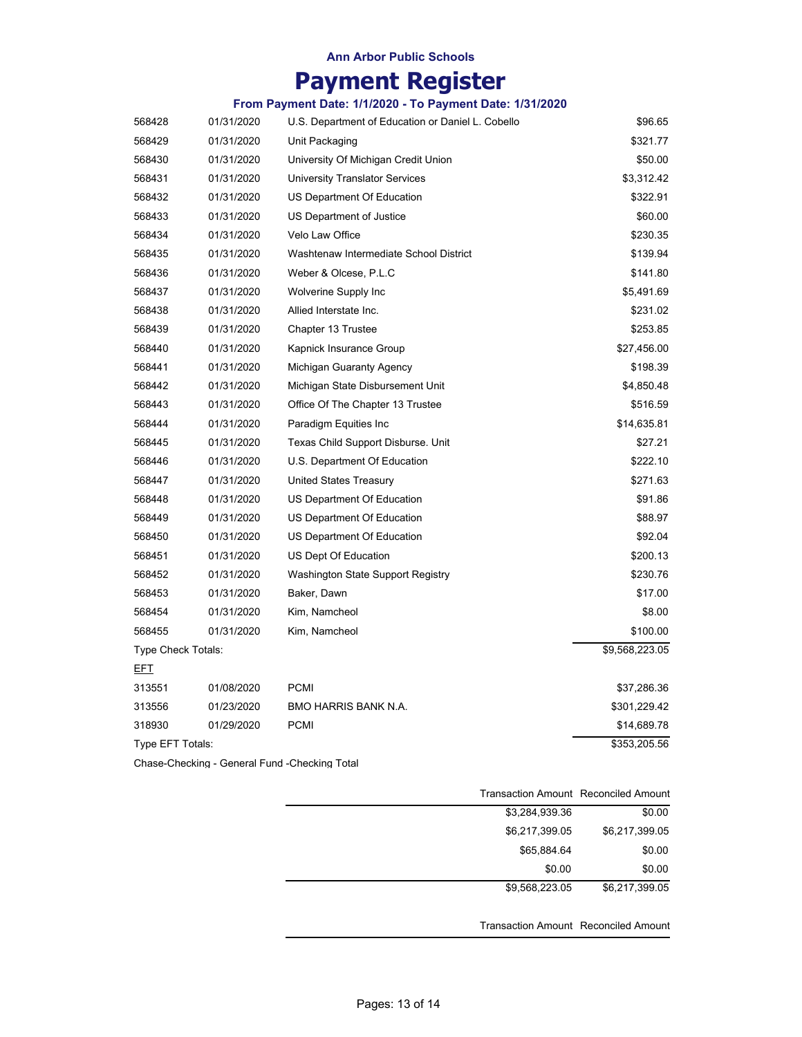# **Payment Register**

### **From Payment Date: 1/1/2020 - To Payment Date: 1/31/2020**

| 568428             | 01/31/2020 | U.S. Department of Education or Daniel L. Cobello | \$96.65        |
|--------------------|------------|---------------------------------------------------|----------------|
| 568429             | 01/31/2020 | Unit Packaging                                    | \$321.77       |
| 568430             | 01/31/2020 | University Of Michigan Credit Union               | \$50.00        |
| 568431             | 01/31/2020 | University Translator Services                    | \$3,312.42     |
| 568432             | 01/31/2020 | US Department Of Education                        | \$322.91       |
| 568433             | 01/31/2020 | US Department of Justice                          | \$60.00        |
| 568434             | 01/31/2020 | Velo Law Office                                   | \$230.35       |
| 568435             | 01/31/2020 | Washtenaw Intermediate School District            | \$139.94       |
| 568436             | 01/31/2020 | Weber & Olcese, P.L.C                             | \$141.80       |
| 568437             | 01/31/2020 | Wolverine Supply Inc                              | \$5,491.69     |
| 568438             | 01/31/2020 | Allied Interstate Inc.                            | \$231.02       |
| 568439             | 01/31/2020 | Chapter 13 Trustee                                | \$253.85       |
| 568440             | 01/31/2020 | Kapnick Insurance Group                           | \$27,456.00    |
| 568441             | 01/31/2020 | Michigan Guaranty Agency                          | \$198.39       |
| 568442             | 01/31/2020 | Michigan State Disbursement Unit                  | \$4,850.48     |
| 568443             | 01/31/2020 | Office Of The Chapter 13 Trustee                  | \$516.59       |
| 568444             | 01/31/2020 | Paradigm Equities Inc                             | \$14,635.81    |
| 568445             | 01/31/2020 | Texas Child Support Disburse. Unit                | \$27.21        |
| 568446             | 01/31/2020 | U.S. Department Of Education                      | \$222.10       |
| 568447             | 01/31/2020 | <b>United States Treasury</b>                     | \$271.63       |
| 568448             | 01/31/2020 | US Department Of Education                        | \$91.86        |
| 568449             | 01/31/2020 | US Department Of Education                        | \$88.97        |
| 568450             | 01/31/2020 | US Department Of Education                        | \$92.04        |
| 568451             | 01/31/2020 | US Dept Of Education                              | \$200.13       |
| 568452             | 01/31/2020 | Washington State Support Registry                 | \$230.76       |
| 568453             | 01/31/2020 | Baker, Dawn                                       | \$17.00        |
| 568454             | 01/31/2020 | Kim, Namcheol                                     | \$8.00         |
| 568455             | 01/31/2020 | Kim, Namcheol                                     | \$100.00       |
| Type Check Totals: |            |                                                   | \$9,568,223.05 |
| <u>EFT</u>         |            |                                                   |                |
| 313551             | 01/08/2020 | <b>PCMI</b>                                       | \$37,286.36    |
| 313556             | 01/23/2020 | BMO HARRIS BANK N.A.                              | \$301,229.42   |
| 318930             | 01/29/2020 | <b>PCMI</b>                                       | \$14,689.78    |
| Type EFT Totals:   |            |                                                   | \$353,205.56   |

Chase-Checking - General Fund -Checking Total

|                |        | Transaction Amount Reconciled Amount |
|----------------|--------|--------------------------------------|
| \$3,284,939.36 |        | \$0.00                               |
| \$6,217,399.05 |        | \$6,217,399.05                       |
| \$65,884.64    |        | \$0.00                               |
|                | \$0.00 | \$0.00                               |
| \$9,568,223.05 |        | \$6,217,399.05                       |
|                |        | Transaction Amount Reconciled Amount |